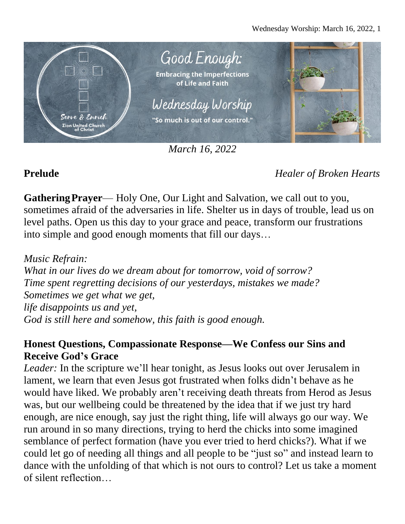

*March 16, 2022*

**Prelude** *Healer of Broken Hearts*

**GatheringPrayer**— Holy One, Our Light and Salvation, we call out to you, sometimes afraid of the adversaries in life. Shelter us in days of trouble, lead us on level paths. Open us this day to your grace and peace, transform our frustrations into simple and good enough moments that fill our days…

*Music Refrain: What in our lives do we dream about for tomorrow, void of sorrow? Time spent regretting decisions of our yesterdays, mistakes we made? Sometimes we get what we get, life disappoints us and yet, God is still here and somehow, this faith is good enough.*

# **Honest Questions, Compassionate Response—We Confess our Sins and Receive God's Grace**

*Leader:* In the scripture we'll hear tonight, as Jesus looks out over Jerusalem in lament, we learn that even Jesus got frustrated when folks didn't behave as he would have liked. We probably aren't receiving death threats from Herod as Jesus was, but our wellbeing could be threatened by the idea that if we just try hard enough, are nice enough, say just the right thing, life will always go our way. We run around in so many directions, trying to herd the chicks into some imagined semblance of perfect formation (have you ever tried to herd chicks?). What if we could let go of needing all things and all people to be "just so" and instead learn to dance with the unfolding of that which is not ours to control? Let us take a moment of silent reflection…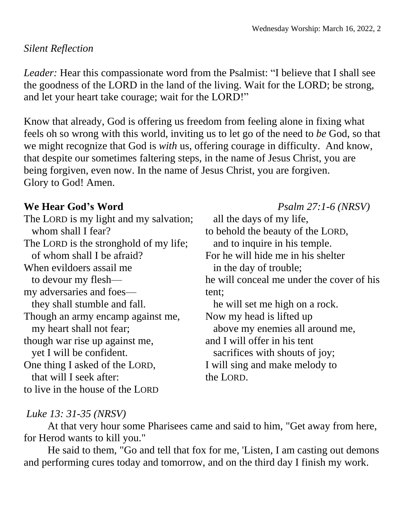### *Silent Reflection*

*Leader:* Hear this compassionate word from the Psalmist: "I believe that I shall see the goodness of the LORD in the land of the living. Wait for the LORD; be strong, and let your heart take courage; wait for the LORD!"

Know that already, God is offering us freedom from feeling alone in fixing what feels oh so wrong with this world, inviting us to let go of the need to *be* God, so that we might recognize that God is *with* us, offering courage in difficulty. And know, that despite our sometimes faltering steps, in the name of Jesus Christ, you are being forgiven, even now. In the name of Jesus Christ, you are forgiven. Glory to God! Amen.

The LORD is my light and my salvation; whom shall I fear? The LORD is the stronghold of my life; of whom shall I be afraid? When evildoers assail me to devour my flesh my adversaries and foes they shall stumble and fall. Though an army encamp against me, my heart shall not fear; though war rise up against me, yet I will be confident. One thing I asked of the LORD, that will I seek after: to live in the house of the LORD

**We Hear God's Word** *Psalm 27:1-6 (NRSV)* all the days of my life, to behold the beauty of the LORD, and to inquire in his temple. For he will hide me in his shelter in the day of trouble; he will conceal me under the cover of his tent; he will set me high on a rock. Now my head is lifted up above my enemies all around me, and I will offer in his tent sacrifices with shouts of joy; I will sing and make melody to the LORD.

# *Luke 13: 31-35 (NRSV)*

At that very hour some Pharisees came and said to him, "Get away from here, for Herod wants to kill you."

He said to them, "Go and tell that fox for me, 'Listen, I am casting out demons and performing cures today and tomorrow, and on the third day I finish my work.